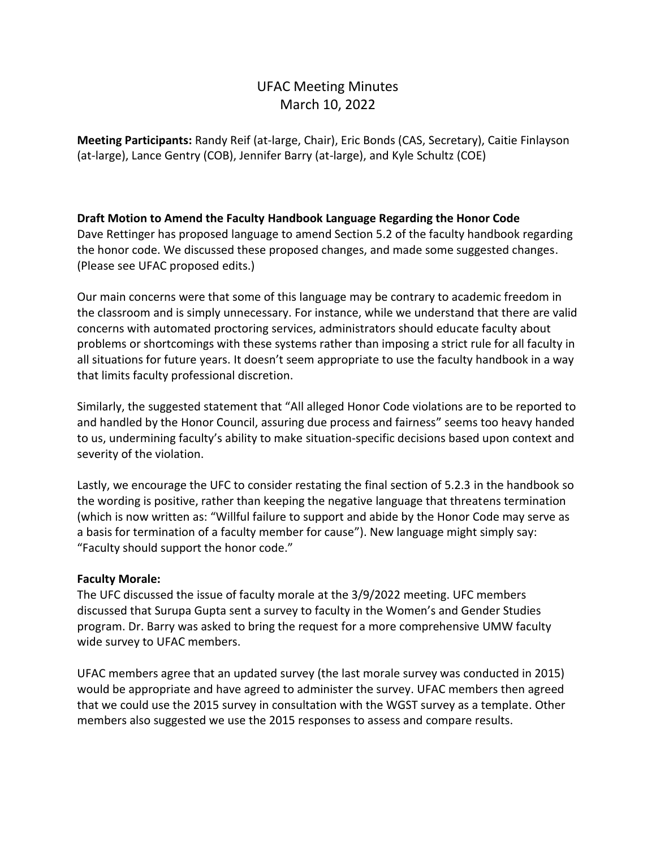# UFAC Meeting Minutes March 10, 2022

**Meeting Participants:** Randy Reif (at-large, Chair), Eric Bonds (CAS, Secretary), Caitie Finlayson (at-large), Lance Gentry (COB), Jennifer Barry (at-large), and Kyle Schultz (COE)

## **Draft Motion to Amend the Faculty Handbook Language Regarding the Honor Code**

Dave Rettinger has proposed language to amend Section 5.2 of the faculty handbook regarding the honor code. We discussed these proposed changes, and made some suggested changes. (Please see UFAC proposed edits.)

Our main concerns were that some of this language may be contrary to academic freedom in the classroom and is simply unnecessary. For instance, while we understand that there are valid concerns with automated proctoring services, administrators should educate faculty about problems or shortcomings with these systems rather than imposing a strict rule for all faculty in all situations for future years. It doesn't seem appropriate to use the faculty handbook in a way that limits faculty professional discretion.

Similarly, the suggested statement that "All alleged Honor Code violations are to be reported to and handled by the Honor Council, assuring due process and fairness" seems too heavy handed to us, undermining faculty's ability to make situation-specific decisions based upon context and severity of the violation.

Lastly, we encourage the UFC to consider restating the final section of 5.2.3 in the handbook so the wording is positive, rather than keeping the negative language that threatens termination (which is now written as: "Willful failure to support and abide by the Honor Code may serve as a basis for termination of a faculty member for cause"). New language might simply say: "Faculty should support the honor code."

### **Faculty Morale:**

The UFC discussed the issue of faculty morale at the 3/9/2022 meeting. UFC members discussed that Surupa Gupta sent a survey to faculty in the Women's and Gender Studies program. Dr. Barry was asked to bring the request for a more comprehensive UMW faculty wide survey to UFAC members.

UFAC members agree that an updated survey (the last morale survey was conducted in 2015) would be appropriate and have agreed to administer the survey. UFAC members then agreed that we could use the 2015 survey in consultation with the WGST survey as a template. Other members also suggested we use the 2015 responses to assess and compare results.